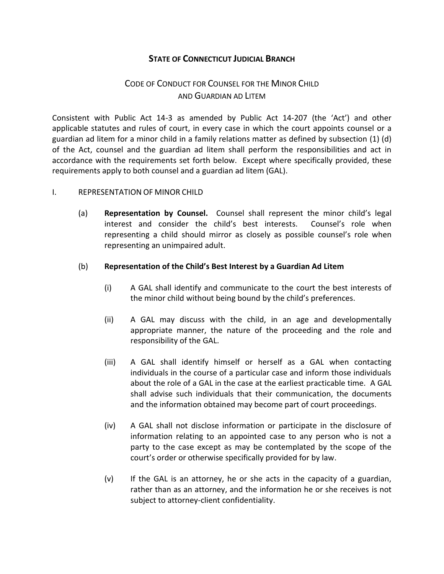## **STATE OF CONNECTICUT JUDICIAL BRANCH**

# CODE OF CONDUCT FOR COUNSEL FOR THE MINOR CHILD AND GUARDIAN AD LITEM

Consistent with Public Act 14-3 as amended by Public Act 14-207 (the 'Act') and other applicable statutes and rules of court, in every case in which the court appoints counsel or a guardian ad litem for a minor child in a family relations matter as defined by subsection (1) (d) of the Act, counsel and the guardian ad litem shall perform the responsibilities and act in accordance with the requirements set forth below. Except where specifically provided, these requirements apply to both counsel and a guardian ad litem (GAL).

#### I. REPRESENTATION OF MINOR CHILD

(a) **Representation by Counsel.** Counsel shall represent the minor child's legal interest and consider the child's best interests. Counsel's role when representing a child should mirror as closely as possible counsel's role when representing an unimpaired adult.

#### (b) **Representation of the Child's Best Interest by a Guardian Ad Litem**

- (i) A GAL shall identify and communicate to the court the best interests of the minor child without being bound by the child's preferences.
- (ii) A GAL may discuss with the child, in an age and developmentally appropriate manner, the nature of the proceeding and the role and responsibility of the GAL.
- (iii) A GAL shall identify himself or herself as a GAL when contacting individuals in the course of a particular case and inform those individuals about the role of a GAL in the case at the earliest practicable time. A GAL shall advise such individuals that their communication, the documents and the information obtained may become part of court proceedings.
- (iv) A GAL shall not disclose information or participate in the disclosure of information relating to an appointed case to any person who is not a party to the case except as may be contemplated by the scope of the court's order or otherwise specifically provided for by law.
- (v) If the GAL is an attorney, he or she acts in the capacity of a guardian, rather than as an attorney, and the information he or she receives is not subject to attorney-client confidentiality.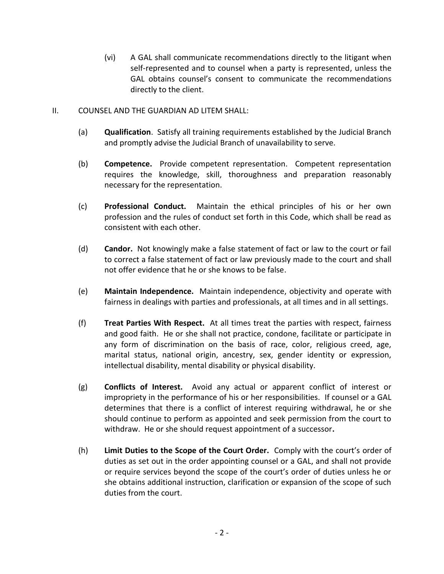(vi) A GAL shall communicate recommendations directly to the litigant when self-represented and to counsel when a party is represented, unless the GAL obtains counsel's consent to communicate the recommendations directly to the client.

### II. COUNSEL AND THE GUARDIAN AD LITEM SHALL:

- (a) **Qualification**. Satisfy all training requirements established by the Judicial Branch and promptly advise the Judicial Branch of unavailability to serve.
- (b) **Competence.** Provide competent representation. Competent representation requires the knowledge, skill, thoroughness and preparation reasonably necessary for the representation.
- (c) **Professional Conduct.** Maintain the ethical principles of his or her own profession and the rules of conduct set forth in this Code, which shall be read as consistent with each other.
- (d) **Candor.** Not knowingly make a false statement of fact or law to the court or fail to correct a false statement of fact or law previously made to the court and shall not offer evidence that he or she knows to be false.
- (e) **Maintain Independence.** Maintain independence, objectivity and operate with fairness in dealings with parties and professionals, at all times and in all settings.
- (f) **Treat Parties With Respect.** At all times treat the parties with respect, fairness and good faith. He or she shall not practice, condone, facilitate or participate in any form of discrimination on the basis of race, color, religious creed, age, marital status, national origin, ancestry, sex, gender identity or expression, intellectual disability, mental disability or physical disability.
- (g) **Conflicts of Interest.** Avoid any actual or apparent conflict of interest or impropriety in the performance of his or her responsibilities. If counsel or a GAL determines that there is a conflict of interest requiring withdrawal, he or she should continue to perform as appointed and seek permission from the court to withdraw. He or she should request appointment of a successor**.**
- (h) **Limit Duties to the Scope of the Court Order.** Comply with the court's order of duties as set out in the order appointing counsel or a GAL, and shall not provide or require services beyond the scope of the court's order of duties unless he or she obtains additional instruction, clarification or expansion of the scope of such duties from the court.